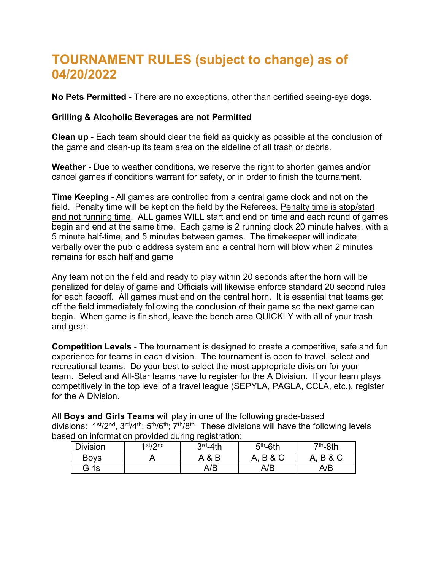# **TOURNAMENT RULES (subject to change) as of 04/20/2022**

**No Pets Permitted** - There are no exceptions, other than certified seeing-eye dogs.

#### **Grilling & Alcoholic Beverages are not Permitted**

**Clean up** - Each team should clear the field as quickly as possible at the conclusion of the game and clean-up its team area on the sideline of all trash or debris.

**Weather -** Due to weather conditions, we reserve the right to shorten games and/or cancel games if conditions warrant for safety, or in order to finish the tournament.

**Time Keeping -** All games are controlled from a central game clock and not on the field. Penalty time will be kept on the field by the Referees. Penalty time is stop/start and not running time. ALL games WILL start and end on time and each round of games begin and end at the same time. Each game is 2 running clock 20 minute halves, with a 5 minute half-time, and 5 minutes between games. The timekeeper will indicate verbally over the public address system and a central horn will blow when 2 minutes remains for each half and game

Any team not on the field and ready to play within 20 seconds after the horn will be penalized for delay of game and Officials will likewise enforce standard 20 second rules for each faceoff. All games must end on the central horn. It is essential that teams get off the field immediately following the conclusion of their game so the next game can begin. When game is finished, leave the bench area QUICKLY with all of your trash and gear.

**Competition Levels** - The tournament is designed to create a competitive, safe and fun experience for teams in each division. The tournament is open to travel, select and recreational teams. Do your best to select the most appropriate division for your team. Select and All-Star teams have to register for the A Division. If your team plays competitively in the top level of a travel league (SEPYLA, PAGLA, CCLA, etc.), register for the A Division.

All **Boys and Girls Teams** will play in one of the following grade-based divisions:  $1^{st}/2^{nd}$ ,  $3^{rd}/4^{th}$ ;  $5^{th}/6^{th}$ ;  $7^{th}/8^{th}$ . These divisions will have the following levels based on information provided during registration:

| <b>Division</b> | 1st/2nd | $3rd - 4th$ | $5th$ -6th     | <sup>7th</sup> -8th |
|-----------------|---------|-------------|----------------|---------------------|
| Boys            |         | B<br>A &    | & C<br>A,<br>R | <b>B&amp;C</b>      |
| Girls           |         | A/B         | A/B            | A/B                 |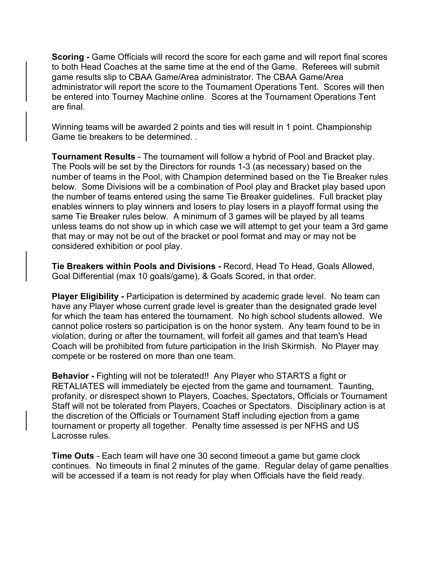**Scoring -** Game Officials will record the score for each game and will report final scores to both Head Coaches at the same time at the end of the Game. Referees will submit game results slip to CBAA Game/Area administrator. The CBAA Game/Area administrator will report the score to the Tournament Operations Tent. Scores will then be entered into Tourney Machine online. Scores at the Tournament Operations Tent are final.

Winning teams will be awarded 2 points and ties will result in 1 point. Championship Game tie breakers to be determined. .

**Tournament Results** - The tournament will follow a hybrid of Pool and Bracket play. The Pools will be set by the Directors for rounds 1-3 (as necessary) based on the number of teams in the Pool, with Champion determined based on the Tie Breaker rules below. Some Divisions will be a combination of Pool play and Bracket play based upon the number of teams entered using the same Tie Breaker guidelines. Full bracket play enables winners to play winners and losers to play losers in a playoff format using the same Tie Breaker rules below. A minimum of 3 games will be played by all teams unless teams do not show up in which case we will attempt to get your team a 3rd game that may or may not be out of the bracket or pool format and may or may not be considered exhibition or pool play.

**Tie Breakers within Pools and Divisions -** Record, Head To Head, Goals Allowed, Goal Differential (max 10 goals/game), & Goals Scored, in that order.

**Player Eligibility - Participation is determined by academic grade level. No team can** have any Player whose current grade level is greater than the designated grade level for which the team has entered the tournament. No high school students allowed. We cannot police rosters so participation is on the honor system. Any team found to be in violation, during or after the tournament, will forfeit all games and that team's Head Coach will be prohibited from future participation in the Irish Skirmish. No Player may compete or be rostered on more than one team.

**Behavior -** Fighting will not be tolerated!! Any Player who STARTS a fight or RETALIATES will immediately be ejected from the game and tournament. Taunting, profanity, or disrespect shown to Players, Coaches, Spectators, Officials or Tournament Staff will not be tolerated from Players, Coaches or Spectators. Disciplinary action is at the discretion of the Officials or Tournament Staff including ejection from a game tournament or property all together. Penalty time assessed is per NFHS and US Lacrosse rules.

**Time Outs** - Each team will have one 30 second timeout a game but game clock continues. No timeouts in final 2 minutes of the game. Regular delay of game penalties will be accessed if a team is not ready for play when Officials have the field ready.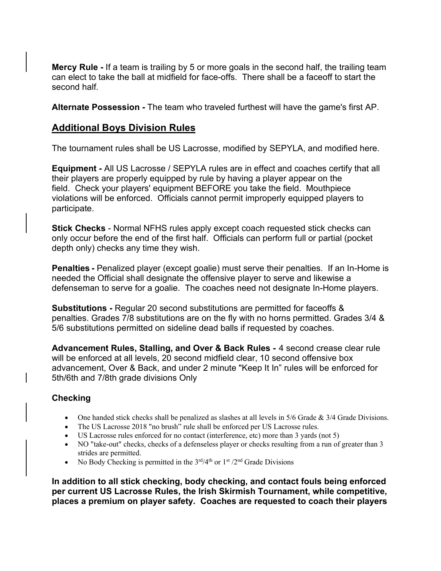**Mercy Rule -** If a team is trailing by 5 or more goals in the second half, the trailing team can elect to take the ball at midfield for face-offs. There shall be a faceoff to start the second half.

**Alternate Possession -** The team who traveled furthest will have the game's first AP.

#### **Additional Boys Division Rules**

The tournament rules shall be US Lacrosse, modified by SEPYLA, and modified here.

**Equipment -** All US Lacrosse / SEPYLA rules are in effect and coaches certify that all their players are properly equipped by rule by having a player appear on the field. Check your players' equipment BEFORE you take the field. Mouthpiece violations will be enforced. Officials cannot permit improperly equipped players to participate.

**Stick Checks** - Normal NFHS rules apply except coach requested stick checks can only occur before the end of the first half. Officials can perform full or partial (pocket depth only) checks any time they wish.

**Penalties -** Penalized player (except goalie) must serve their penalties. If an In-Home is needed the Official shall designate the offensive player to serve and likewise a defenseman to serve for a goalie. The coaches need not designate In-Home players.

**Substitutions -** Regular 20 second substitutions are permitted for faceoffs & penalties. Grades 7/8 substitutions are on the fly with no horns permitted. Grades 3/4 & 5/6 substitutions permitted on sideline dead balls if requested by coaches.

**Advancement Rules, Stalling, and Over & Back Rules -** 4 second crease clear rule will be enforced at all levels, 20 second midfield clear, 10 second offensive box advancement, Over & Back, and under 2 minute "Keep It In" rules will be enforced for 5th/6th and 7/8th grade divisions Only

#### **Checking**

- One handed stick checks shall be penalized as slashes at all levels in  $5/6$  Grade  $\&$  3/4 Grade Divisions.
- The US Lacrosse 2018 "no brush" rule shall be enforced per US Lacrosse rules.
- US Lacrosse rules enforced for no contact (interference, etc) more than 3 yards (not 5)
- NO "take-out" checks, checks of a defenseless player or checks resulting from a run of greater than 3 strides are permitted.
- No Body Checking is permitted in the  $3<sup>rd</sup>/4<sup>th</sup>$  or  $1<sup>st</sup>/2<sup>nd</sup>$  Grade Divisions

**In addition to all stick checking, body checking, and contact fouls being enforced per current US Lacrosse Rules, the Irish Skirmish Tournament, while competitive, places a premium on player safety. Coaches are requested to coach their players**